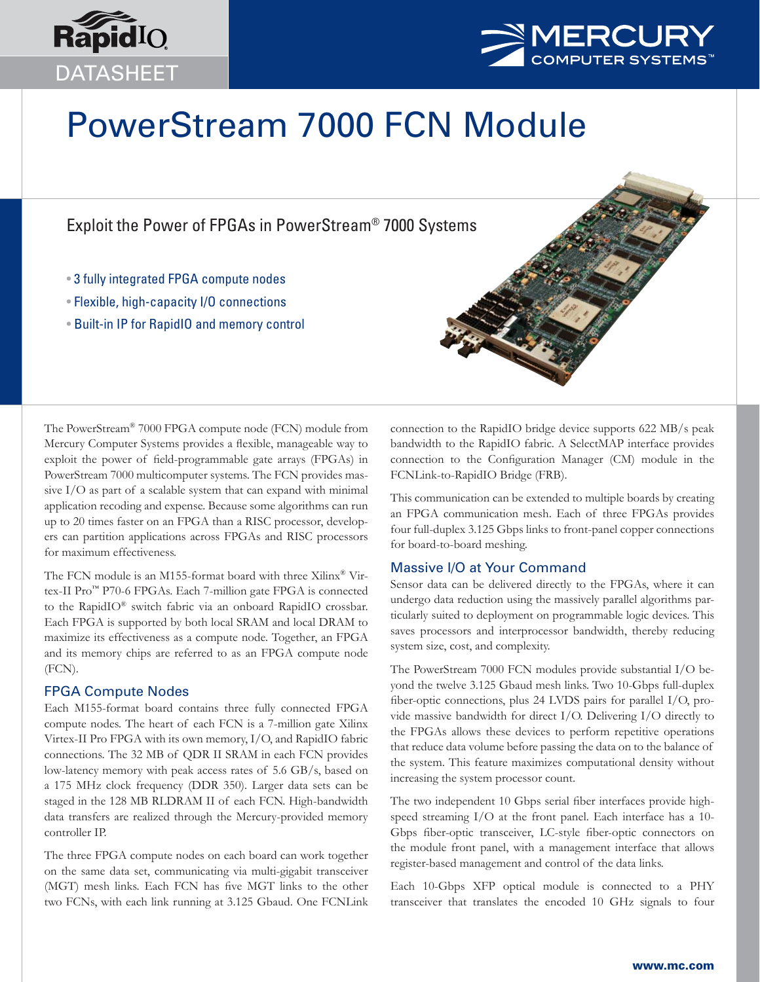



# PowerStream 7000 FCN Module

## Exploit the Power of FPGAs in PowerStream® 7000 Systems

- 3 fully integrated FPGA compute nodes
- Flexible, high-capacity I/O connections
- Built-in IP for RapidIO and memory control

connection to the RapidIO bridge device supports 622 MB/s peak bandwidth to the RapidIO fabric. A SelectMAP interface provides connection to the Configuration Manager (CM) module in the FCNLink-to-RapidIO Bridge (FRB).

This communication can be extended to multiple boards by creating an FPGA communication mesh. Each of three FPGAs provides four full-duplex 3.125 Gbps links to front-panel copper connections for board-to-board meshing.

#### Massive I/O at Your Command

Sensor data can be delivered directly to the FPGAs, where it can undergo data reduction using the massively parallel algorithms particularly suited to deployment on programmable logic devices. This saves processors and interprocessor bandwidth, thereby reducing system size, cost, and complexity.

The PowerStream 7000 FCN modules provide substantial I/O beyond the twelve 3.125 Gbaud mesh links. Two 10-Gbps full-duplex fiber-optic connections, plus 24 LVDS pairs for parallel I/O, provide massive bandwidth for direct I/O. Delivering I/O directly to the FPGAs allows these devices to perform repetitive operations that reduce data volume before passing the data on to the balance of the system. This feature maximizes computational density without increasing the system processor count.

The two independent 10 Gbps serial fiber interfaces provide highspeed streaming I/O at the front panel. Each interface has a 10- Gbps fiber-optic transceiver, LC-style fiber-optic connectors on the module front panel, with a management interface that allows register-based management and control of the data links.

Each 10-Gbps XFP optical module is connected to a PHY transceiver that translates the encoded 10 GHz signals to four

The PowerStream® 7000 FPGA compute node (FCN) module from Mercury Computer Systems provides a flexible, manageable way to exploit the power of field-programmable gate arrays (FPGAs) in PowerStream 7000 multicomputer systems. The FCN provides massive I/O as part of a scalable system that can expand with minimal application recoding and expense. Because some algorithms can run up to 20 times faster on an FPGA than a RISC processor, developers can partition applications across FPGAs and RISC processors for maximum effectiveness.

The FCN module is an M155-format board with three Xilinx® Virtex-II Pro™ P70-6 FPGAs. Each 7-million gate FPGA is connected to the RapidIO® switch fabric via an onboard RapidIO crossbar. Each FPGA is supported by both local SRAM and local DRAM to maximize its effectiveness as a compute node. Together, an FPGA and its memory chips are referred to as an FPGA compute node (FCN).

## FPGA Compute Nodes

Each M155-format board contains three fully connected FPGA compute nodes. The heart of each FCN is a 7-million gate Xilinx Virtex-II Pro FPGA with its own memory, I/O, and RapidIO fabric connections. The 32 MB of QDR II SRAM in each FCN provides low-latency memory with peak access rates of 5.6 GB/s, based on a 175 MHz clock frequency (DDR 350). Larger data sets can be staged in the 128 MB RLDRAM II of each FCN. High-bandwidth data transfers are realized through the Mercury-provided memory controller IP.

The three FPGA compute nodes on each board can work together on the same data set, communicating via multi-gigabit transceiver (MGT) mesh links. Each FCN has five MGT links to the other two FCNs, with each link running at 3.125 Gbaud. One FCNLink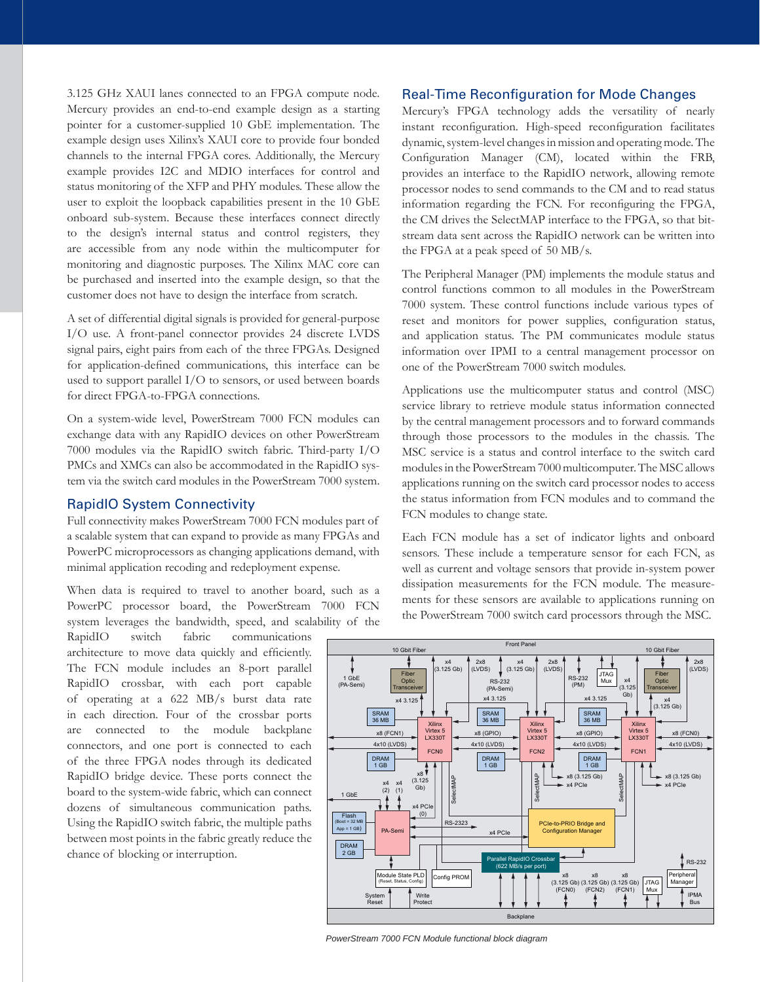3.125 GHz XAUI lanes connected to an FPGA compute node. Mercury provides an end-to-end example design as a starting pointer for a customer-supplied 10 GbE implementation. The example design uses Xilinx's XAUI core to provide four bonded channels to the internal FPGA cores. Additionally, the Mercury example provides I2C and MDIO interfaces for control and status monitoring of the XFP and PHY modules. These allow the user to exploit the loopback capabilities present in the 10 GbE onboard sub-system. Because these interfaces connect directly to the design's internal status and control registers, they are accessible from any node within the multicomputer for monitoring and diagnostic purposes. The Xilinx MAC core can be purchased and inserted into the example design, so that the customer does not have to design the interface from scratch.

A set of differential digital signals is provided for general-purpose I/O use. A front-panel connector provides 24 discrete LVDS signal pairs, eight pairs from each of the three FPGAs. Designed for application-defined communications, this interface can be used to support parallel I/O to sensors, or used between boards for direct FPGA-to-FPGA connections.

On a system-wide level, PowerStream 7000 FCN modules can exchange data with any RapidIO devices on other PowerStream 7000 modules via the RapidIO switch fabric. Third-party I/O PMCs and XMCs can also be accommodated in the RapidIO system via the switch card modules in the PowerStream 7000 system.

#### RapidIO System Connectivity

Full connectivity makes PowerStream 7000 FCN modules part of a scalable system that can expand to provide as many FPGAs and PowerPC microprocessors as changing applications demand, with minimal application recoding and redeployment expense.

When data is required to travel to another board, such as a PowerPC processor board, the PowerStream 7000 FCN system leverages the bandwidth, speed, and scalability of the

RapidIO switch fabric communications architecture to move data quickly and efficiently. The FCN module includes an 8-port parallel RapidIO crossbar, with each port capable of operating at a 622 MB/s burst data rate in each direction. Four of the crossbar ports are connected to the module backplane connectors, and one port is connected to each of the three FPGA nodes through its dedicated RapidIO bridge device. These ports connect the board to the system-wide fabric, which can connect dozens of simultaneous communication paths. Using the RapidIO switch fabric, the multiple paths between most points in the fabric greatly reduce the chance of blocking or interruption.

#### Real-Time Reconfiguration for Mode Changes

Mercury's FPGA technology adds the versatility of nearly instant reconfiguration. High-speed reconfiguration facilitates dynamic, system-level changes in mission and operating mode. The Configuration Manager (CM), located within the FRB, provides an interface to the RapidIO network, allowing remote processor nodes to send commands to the CM and to read status information regarding the FCN. For reconfiguring the FPGA, the CM drives the SelectMAP interface to the FPGA, so that bitstream data sent across the RapidIO network can be written into the FPGA at a peak speed of 50 MB/s.

The Peripheral Manager (PM) implements the module status and control functions common to all modules in the PowerStream 7000 system. These control functions include various types of reset and monitors for power supplies, configuration status, and application status. The PM communicates module status information over IPMI to a central management processor on one of the PowerStream 7000 switch modules.

Applications use the multicomputer status and control (MSC) service library to retrieve module status information connected by the central management processors and to forward commands through those processors to the modules in the chassis. The MSC service is a status and control interface to the switch card modules in the PowerStream 7000 multicomputer. The MSC allows applications running on the switch card processor nodes to access the status information from FCN modules and to command the FCN modules to change state.

Each FCN module has a set of indicator lights and onboard sensors. These include a temperature sensor for each FCN, as well as current and voltage sensors that provide in-system power dissipation measurements for the FCN module. The measurements for these sensors are available to applications running on the PowerStream 7000 switch card processors through the MSC.



*PowerStream 7000 FCN Module functional block diagram*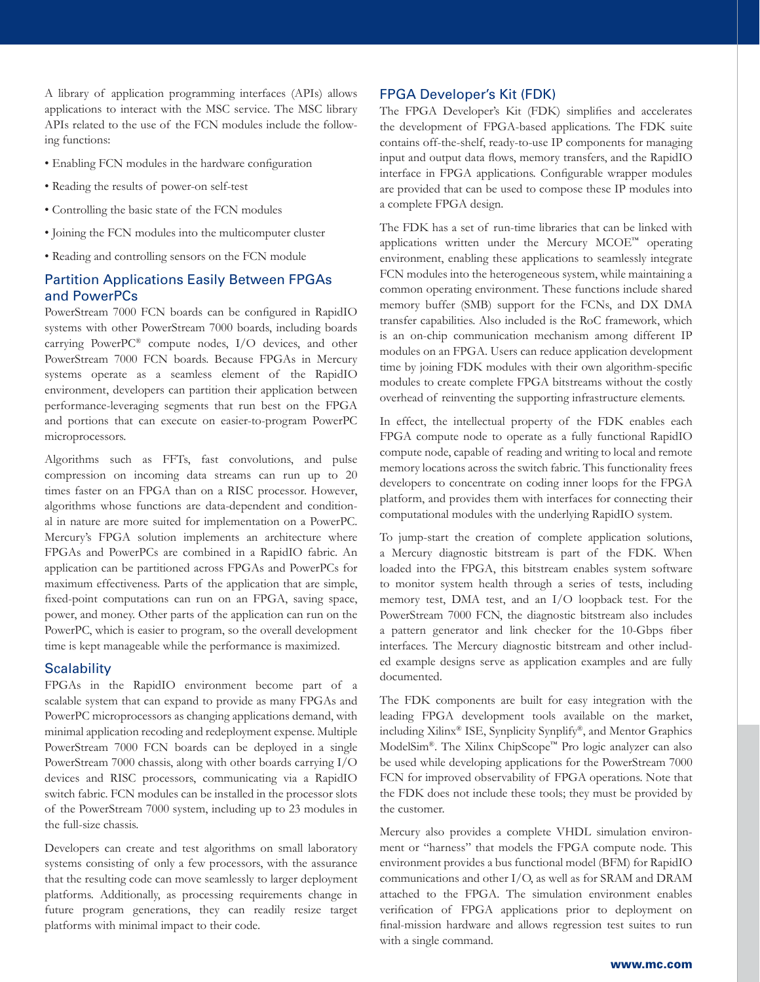A library of application programming interfaces (APIs) allows applications to interact with the MSC service. The MSC library APIs related to the use of the FCN modules include the following functions:

- Enabling FCN modules in the hardware configuration
- Reading the results of power-on self-test
- Controlling the basic state of the FCN modules
- Joining the FCN modules into the multicomputer cluster
- Reading and controlling sensors on the FCN module

## Partition Applications Easily Between FPGAs and PowerPCs

PowerStream 7000 FCN boards can be configured in RapidIO systems with other PowerStream 7000 boards, including boards carrying PowerPC® compute nodes, I/O devices, and other PowerStream 7000 FCN boards. Because FPGAs in Mercury systems operate as a seamless element of the RapidIO environment, developers can partition their application between performance-leveraging segments that run best on the FPGA and portions that can execute on easier-to-program PowerPC microprocessors.

Algorithms such as FFTs, fast convolutions, and pulse compression on incoming data streams can run up to 20 times faster on an FPGA than on a RISC processor. However, algorithms whose functions are data-dependent and conditional in nature are more suited for implementation on a PowerPC. Mercury's FPGA solution implements an architecture where FPGAs and PowerPCs are combined in a RapidIO fabric. An application can be partitioned across FPGAs and PowerPCs for maximum effectiveness. Parts of the application that are simple, fixed-point computations can run on an FPGA, saving space, power, and money. Other parts of the application can run on the PowerPC, which is easier to program, so the overall development time is kept manageable while the performance is maximized.

#### **Scalability**

FPGAs in the RapidIO environment become part of a scalable system that can expand to provide as many FPGAs and PowerPC microprocessors as changing applications demand, with minimal application recoding and redeployment expense. Multiple PowerStream 7000 FCN boards can be deployed in a single PowerStream 7000 chassis, along with other boards carrying I/O devices and RISC processors, communicating via a RapidIO switch fabric. FCN modules can be installed in the processor slots of the PowerStream 7000 system, including up to 23 modules in the full-size chassis.

Developers can create and test algorithms on small laboratory systems consisting of only a few processors, with the assurance that the resulting code can move seamlessly to larger deployment platforms. Additionally, as processing requirements change in future program generations, they can readily resize target platforms with minimal impact to their code.

#### FPGA Developer's Kit (FDK)

The FPGA Developer's Kit (FDK) simplifies and accelerates the development of FPGA-based applications. The FDK suite contains off-the-shelf, ready-to-use IP components for managing input and output data flows, memory transfers, and the RapidIO interface in FPGA applications. Configurable wrapper modules are provided that can be used to compose these IP modules into a complete FPGA design.

The FDK has a set of run-time libraries that can be linked with applications written under the Mercury MCOE™ operating environment, enabling these applications to seamlessly integrate FCN modules into the heterogeneous system, while maintaining a common operating environment. These functions include shared memory buffer (SMB) support for the FCNs, and DX DMA transfer capabilities. Also included is the RoC framework, which is an on-chip communication mechanism among different IP modules on an FPGA. Users can reduce application development time by joining FDK modules with their own algorithm-specific modules to create complete FPGA bitstreams without the costly overhead of reinventing the supporting infrastructure elements.

In effect, the intellectual property of the FDK enables each FPGA compute node to operate as a fully functional RapidIO compute node, capable of reading and writing to local and remote memory locations across the switch fabric. This functionality frees developers to concentrate on coding inner loops for the FPGA platform, and provides them with interfaces for connecting their computational modules with the underlying RapidIO system.

To jump-start the creation of complete application solutions, a Mercury diagnostic bitstream is part of the FDK. When loaded into the FPGA, this bitstream enables system software to monitor system health through a series of tests, including memory test, DMA test, and an I/O loopback test. For the PowerStream 7000 FCN, the diagnostic bitstream also includes a pattern generator and link checker for the 10-Gbps fiber interfaces. The Mercury diagnostic bitstream and other included example designs serve as application examples and are fully documented.

The FDK components are built for easy integration with the leading FPGA development tools available on the market, including Xilinx® ISE, Synplicity Synplify®, and Mentor Graphics ModelSim®. The Xilinx ChipScope™ Pro logic analyzer can also be used while developing applications for the PowerStream 7000 FCN for improved observability of FPGA operations. Note that the FDK does not include these tools; they must be provided by the customer.

Mercury also provides a complete VHDL simulation environment or "harness" that models the FPGA compute node. This environment provides a bus functional model (BFM) for RapidIO communications and other I/O, as well as for SRAM and DRAM attached to the FPGA. The simulation environment enables verification of FPGA applications prior to deployment on final-mission hardware and allows regression test suites to run with a single command.